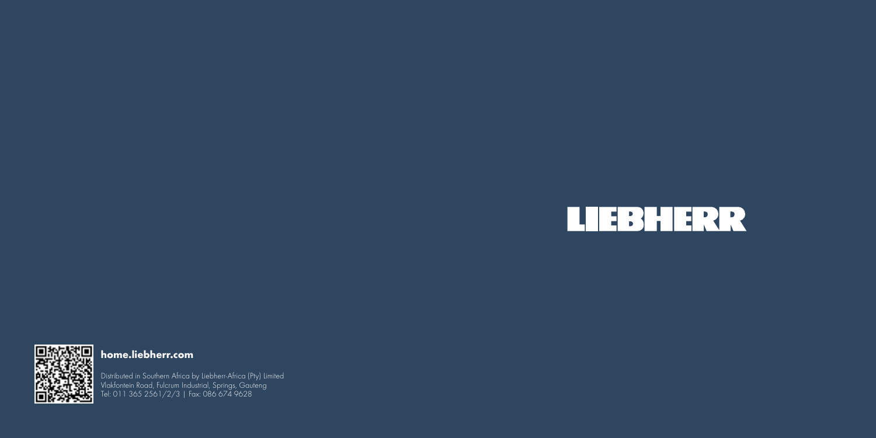



### **home.liebherr.com**

Distributed in Southern Africa by Liebherr-Africa (Pty) Limited Vlakfontein Road, Fulcrum Industrial, Springs, Gauteng Tel: 011 365 2561/2/3 | Fax: 086 674 9628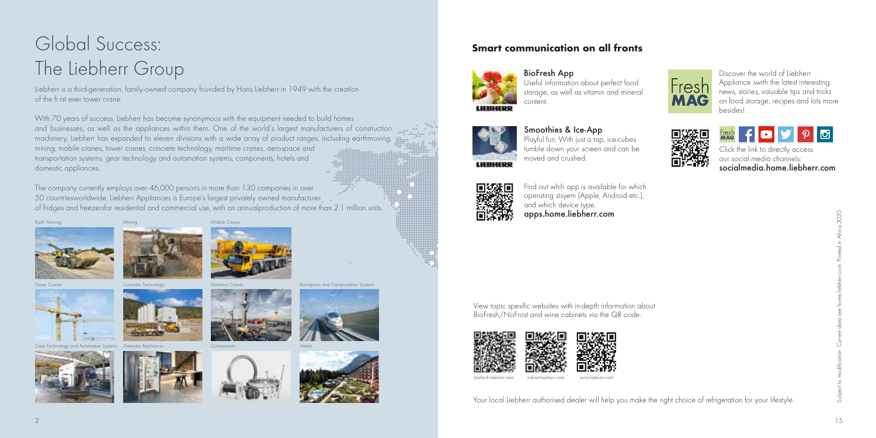# Global Success: The Liebherr Group

Mining

Concrete Technology

Liebherr is a third-generation, family-owned company founded by Hans Liebherr in 1949 with the creation of the fi rst ever tower crane.

With 70 years of success, Liebherr has become synonymous with the equipment needed to build homes and businesses, as well as the appliances within them. One of the world's largest manufacturers of construction machinery, Liebherr has expanded to eleven divisions with a wide array of product ranges, including earthmoving, mining, mobile cranes, tower cranes, concrete technology, maritime cranes, aerospace and transportation systems, gear technology and automation systems, components, hotels and domestic appliances.

Mobile Cranes

The company currently employs over 46,000 persons in more than 130 companies in over 50 countriesworldwide. Liebherr Appliances is Europe's largest privately owned manufacturer of fridges and freezersfor residential and commercial use, with an annualproduction of more than 2.1 million units.





Tower Cranes



Gear Technology and Automation Systems Domestic Appliance





Components







#### **Smart communication on all fronts**



BioFresh App Useful information about perfect food storage, as well as vitamin and mineral content.

**Frest** 



Discover the world of Liebherr Appliance swith the latest interesting news, stories, valuable tips and tricks on food storage, recipes and lots more

 $\rho$   $\sigma$ 

Click the link to directly access our social media channels: socialmedia.home.liebherr.com



## Smoothies & Ice-App

Playful fun; With just a tap, ice-cubes tumble down your screen and can be moved and crushed.



and which device type. **Lienz** apps.home.liebherr.com Find out whih app is available for which

operating stsyem (Apple, Android etc.),

View topic spesific websites with in-depth information about BioFresh/NoFrost and wine cabinets via the QR code.



Your local Liebherr authorised dealer will help you make the right choice of refrigeration for your lifestyle.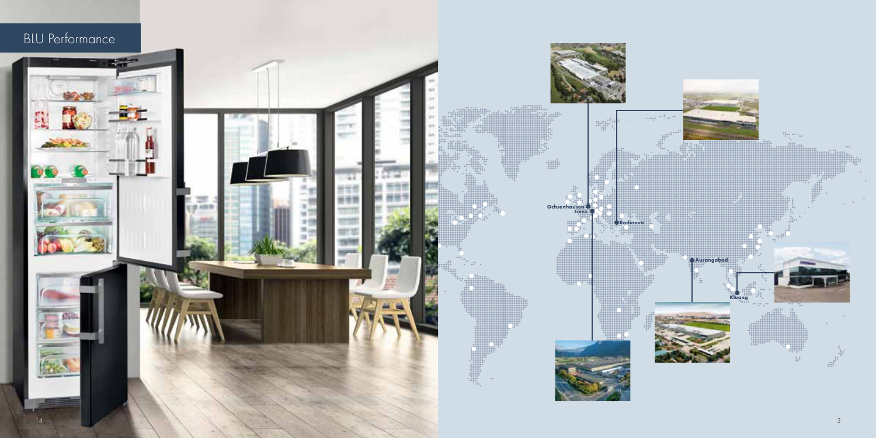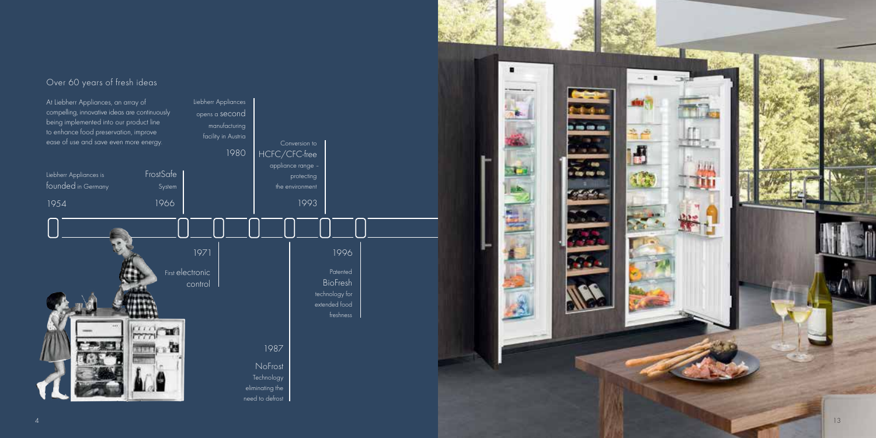#### Over 60 years of fresh ideas



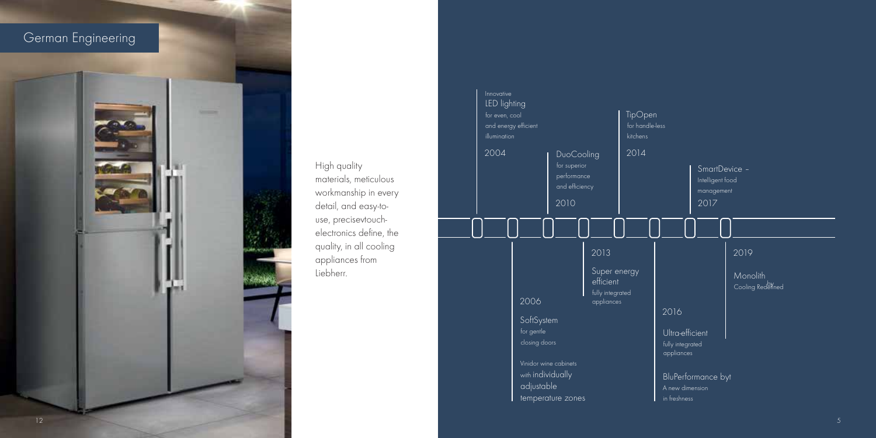

1996 appliances from liebherr. **and High quality** materials, meticulous detail, and easy-toworkmanship in every use, precisevtouchelectronics define, the quality, in all cooling

| Innovative<br>LED lighting<br>for even, cool<br>and energy efficient<br>illumination<br>2004 |  |                                                                                      |  | DuoCooling<br>for superior<br>performance<br>and efficiency<br>2010 |  |                                                                     | TipOpen<br>for handle-less<br>kitchens<br>2014 |  |                                                                                              |  | SmartDevice -<br>Intelligent food<br>management<br>2017 |  |                                       |  |
|----------------------------------------------------------------------------------------------|--|--------------------------------------------------------------------------------------|--|---------------------------------------------------------------------|--|---------------------------------------------------------------------|------------------------------------------------|--|----------------------------------------------------------------------------------------------|--|---------------------------------------------------------|--|---------------------------------------|--|
|                                                                                              |  | 2006<br>SoftSystem<br>for gentle<br>closing doors<br>with individually<br>adjustable |  | Vinidor wine cabinets<br>temperature zones                          |  | 2013<br>Super energy<br>efficient<br>fully integrated<br>appliances |                                                |  | 2016<br>Ultra-efficient<br>fully integrated<br>appliances<br>A new dimension<br>in freshness |  | BluPerformance byt                                      |  | 2019<br>Monolith<br>Cooling Rederined |  |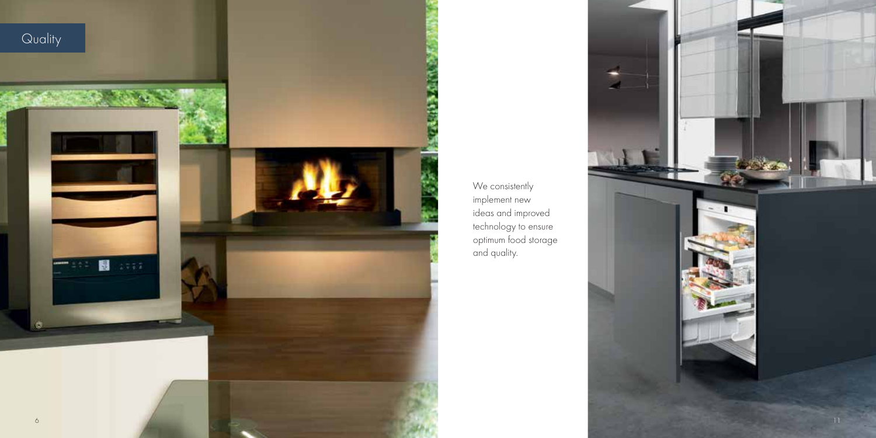

We consistently implement new ideas and improved technology to ensure optimum food storage and quality.

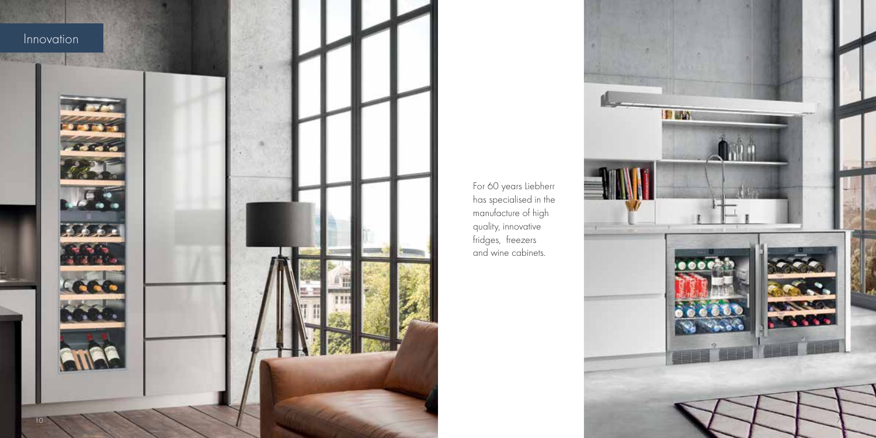

For 60 years Liebherr has specialised in the manufacture of high quality, innovative fridges, freezers and wine cabinets.